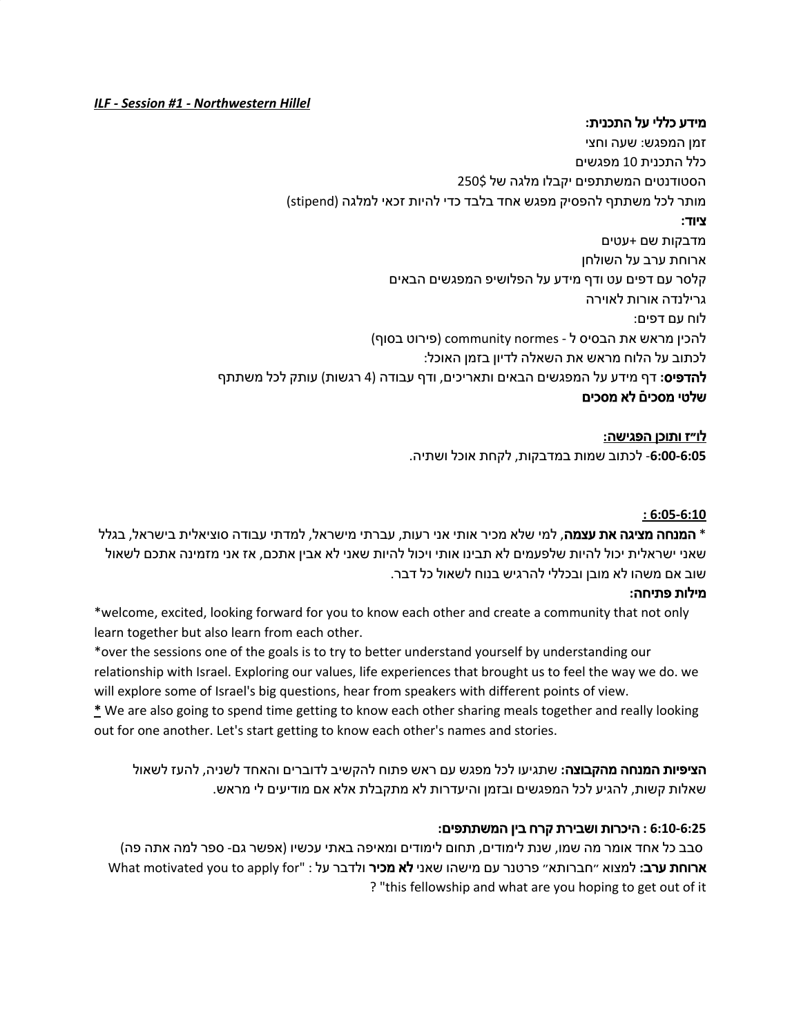## *ILF - Session #1 - Northwestern Hillel*

### מידע כללי על התכנית**:**

זמן המפגש: שעה וחצי כלל התכנית 10 מפגשים הסטודנטים המשתתפים יקבלו מלגה של 250\$ מותר לכל משתתף להפסיק מפגש אחד בלבד כדי להיות זכאי למלגה (stipend( ציוד**:** מדבקות שם +עטים ארוחת ערב על השולחן קלסר עם דפים עט ודף מידע על הפלושיפ המפגשים הבאים גרילנדה אורות לאוירה לוח עם דפים: להכין מראש את הבסיס ל - normes community) פירוט בסוף) לכתוב על הלוח מראש את השאלה לדיון בזמן האוכל: להדפיס**:** דף מידע על המפגשים הבאים ותאריכים, ודף עבודה (4 רגשות) עותק לכל משתתף שלטי מסכים לא מסכים

> לו״ז ותוכן הפגישה**:** -**6:00-6:05** לכתוב שמות במדבקות, לקחת אוכל ושתיה.

#### **: 6:05-6:10**

\* המנחה מציגה את עצמה, למי שלא מכיר אותי אני רעות, עברתי מישראל, למדתי עבודה סוציאלית בישראל, בגלל שאני ישראלית יכול להיות שלפעמים לא תבינו אותי ויכול להיות שאני לא אבין אתכם, אז אני מזמינה אתכם לשאול שוב אם משהו לא מובן ובכללי להרגיש בנוח לשאול כל דבר.

#### מילות פתיחה**:**

\*welcome, excited, looking forward for you to know each other and create a community that not only learn together but also learn from each other.

\*over the sessions one of the goals is to try to better understand yourself by understanding our relationship with Israel. Exploring our values, life experiences that brought us to feel the way we do. we will explore some of Israel's big questions, hear from speakers with different points of view.

**\*** We are also going to spend time getting to know each other sharing meals together and really looking out for one another. Let's start getting to know each other's names and stories.

הציפיות המנחה מהקבוצה**:** שתגיעו לכל מפגש עם ראש פתוח להקשיב לדוברים והאחד לשניה, להעז לשאול שאלות קשות, להגיע לכל המפגשים ובזמן והיעדרות לא מתקבלת אלא אם מודיעים לי מראש.

#### **6:10-6:25 :** היכרות ושבירת קרח בין המשתתפים**:**

סבב כל אחד אומר מה שמו, שנת לימודים, תחום לימודים ומאיפה באתי עכשיו (אפשר גם- ספר למה אתה פה) ארוחת ערב**:** למצוא ״חברותא״ פרטנר עם מישהו שאני לא מכיר ולדבר על : "for apply to you motivated What ? "this fellowship and what are you hoping to get out of it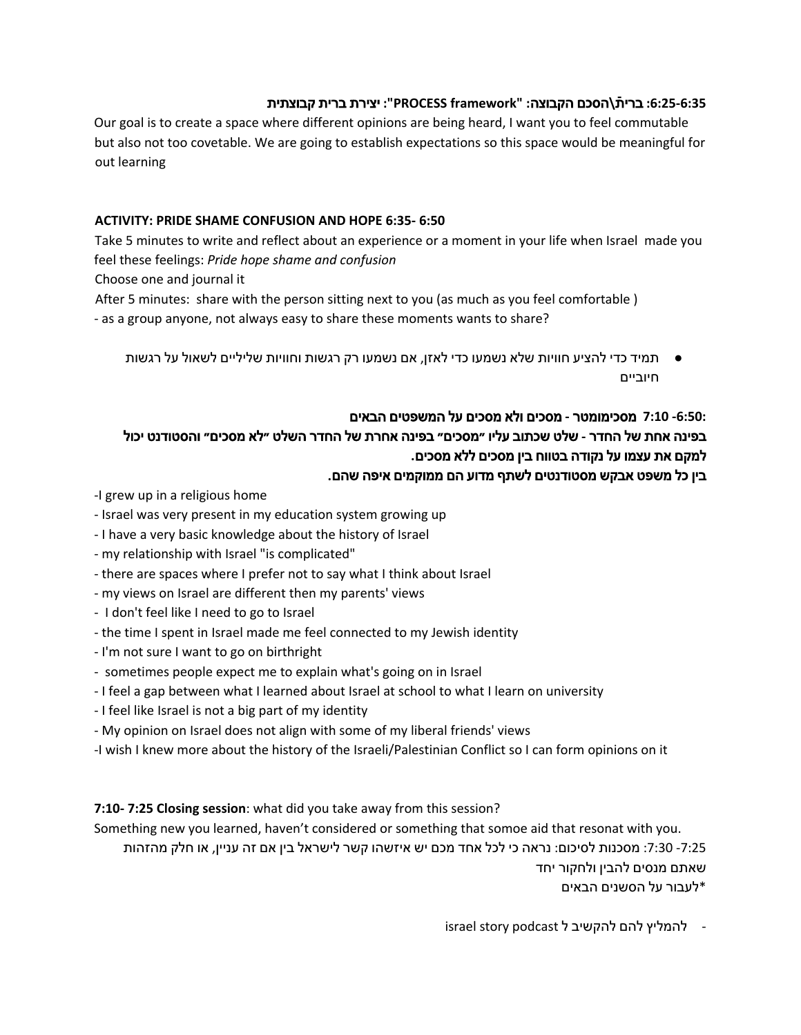# **:6:25-6:35** ברי ֿת**\**הסכם הקבוצה**: "framework PROCESS":** יצירת ברית קבוצתית

Our goal is to create a space where different opinions are being heard, I want you to feel commutable but also not too covetable. We are going to establish expectations so this space would be meaningful for out learning

## **ACTIVITY: PRIDE SHAME CONFUSION AND HOPE 6:35- 6:50**

Take 5 minutes to write and reflect about an experience or a moment in your life when Israel made you feel these feelings: *Pride hope shame and confusion*

Choose one and journal it

After 5 minutes: share with the person sitting next to you (as much as you feel comfortable ) - as a group anyone, not always easy to share these moments wants to share?

● תמיד כדי להציע חוויות שלא נשמעו כדי לאזן, אם נשמעו רק רגשות וחוויות שליליים לשאול על רגשות חיוביים

**-6:50: 7:10** מסכימומטר **-** מסכים ולא מסכים על המשפטים הבאים בפינה אחת של החדר **-** שלט שכתוב עליו ״מסכים״ בפינה אחרת של החדר השלט ״לא מסכים״ והסטודנט יכול למקם את עצמו על נקודה בטווח בין מסכים ללא מסכים**.**

# בין כל משפט אבקש מסטודנטים לשתף מדוע הם ממוקמים איפה שהם**.**

- -I grew up in a religious home
- Israel was very present in my education system growing up
- I have a very basic knowledge about the history of Israel
- my relationship with Israel "is complicated"
- there are spaces where I prefer not to say what I think about Israel
- my views on Israel are different then my parents' views
- I don't feel like I need to go to Israel
- the time I spent in Israel made me feel connected to my Jewish identity
- I'm not sure I want to go on birthright
- sometimes people expect me to explain what's going on in Israel
- I feel a gap between what I learned about Israel at school to what I learn on university
- I feel like Israel is not a big part of my identity
- My opinion on Israel does not align with some of my liberal friends' views
- -I wish I knew more about the history of the Israeli/Palestinian Conflict so I can form opinions on it

**7:10- 7:25 Closing session**: what did you take away from this session?

Something new you learned, haven't considered or something that somoe aid that resonat with you. -7:25 :7:30 מסכנות לסיכום: נראה כי לכל אחד מכם יש איזשהו קשר לישראל בין אם זה עניין, או חלק מהזהות שאתם מנסים להבין ולחקור יחד

\*לעבור על הסשנים הבאים

- להמליץ להם להקשיב ל israel story podcast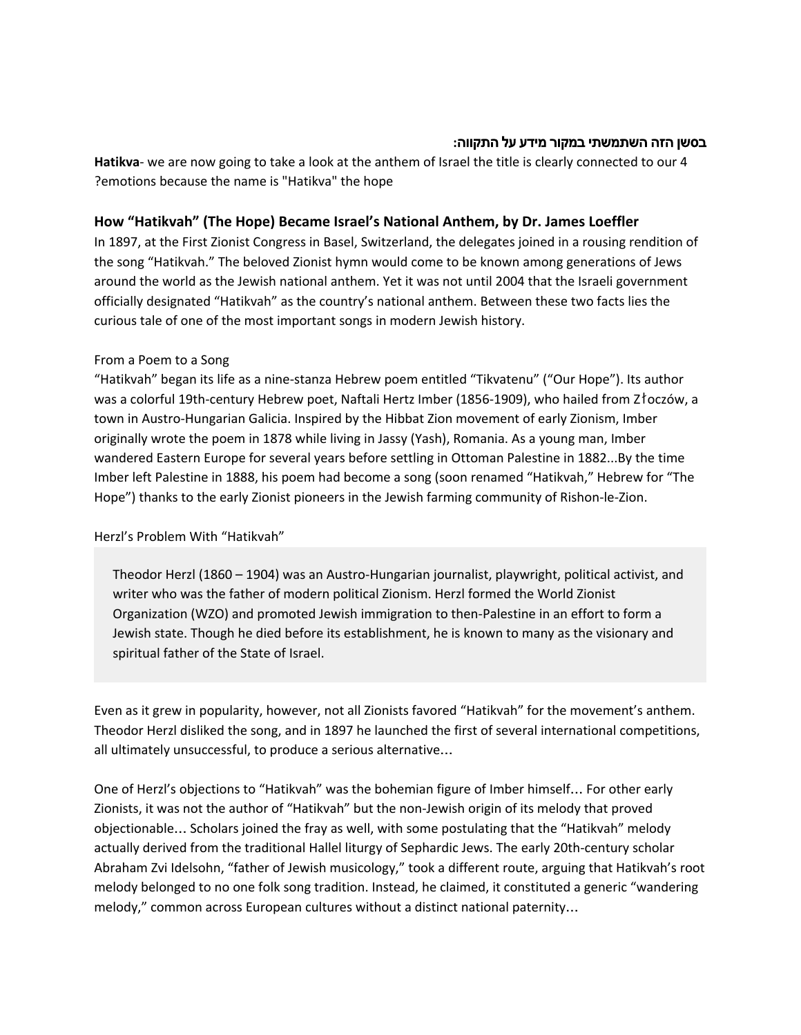## בסשן הזה השתמשתי במקור מידע על התקווה**:**

**Hatikva**- we are now going to take a look at the anthem of Israel the title is clearly connected to our 4 ?emotions because the name is "Hatikva" the hope

## **How "Hatikvah" (The Hope) Became Israel's National Anthem, by Dr. James Loeffler**

In 1897, at the First Zionist Congress in Basel, Switzerland, the delegates joined in a rousing rendition of the song "Hatikvah." The beloved Zionist hymn would come to be known among generations of Jews around the world as the Jewish national anthem. Yet it was not until 2004 that the Israeli government officially designated "Hatikvah" as the country's national anthem. Between these two facts lies the curious tale of one of the most important songs in modern Jewish history.

## From a Poem to a Song

"Hatikvah" began its life as a nine-stanza Hebrew poem entitled "Tikvatenu" ("Our Hope"). Its author was a colorful 19th-century Hebrew poet, Naftali Hertz Imber (1856-1909), who hailed from Złoczów, a town in Austro-Hungarian Galicia. Inspired by the Hibbat Zion movement of early Zionism, Imber originally wrote the poem in 1878 while living in Jassy (Yash), Romania. As a young man, Imber wandered Eastern Europe for several years before settling in Ottoman Palestine in 1882...By the time Imber left Palestine in 1888, his poem had become a song (soon renamed "Hatikvah," Hebrew for "The Hope") thanks to the early Zionist pioneers in the Jewish farming community of Rishon-le-Zion.

## Herzl's Problem With "Hatikvah"

Theodor Herzl (1860 – 1904) was an Austro-Hungarian journalist, playwright, political activist, and writer who was the father of modern political Zionism. Herzl formed the World Zionist Organization (WZO) and promoted Jewish immigration to then-Palestine in an effort to form a Jewish state. Though he died before its establishment, he is known to many as the visionary and spiritual father of the State of Israel.

Even as it grew in popularity, however, not all Zionists favored "Hatikvah" for the movement's anthem. Theodor Herzl disliked the song, and in 1897 he launched the first of several international competitions, all ultimately unsuccessful, to produce a serious alternative…

One of Herzl's objections to "Hatikvah" was the bohemian figure of Imber himself… For other early Zionists, it was not the author of "Hatikvah" but the non-Jewish origin of its melody that proved objectionable… Scholars joined the fray as well, with some postulating that the "Hatikvah" melody actually derived from the traditional Hallel liturgy of Sephardic Jews. The early 20th-century scholar Abraham Zvi Idelsohn, "father of Jewish musicology," took a different route, arguing that Hatikvah's root melody belonged to no one folk song tradition. Instead, he claimed, it constituted a generic "wandering melody," common across European cultures without a distinct national paternity…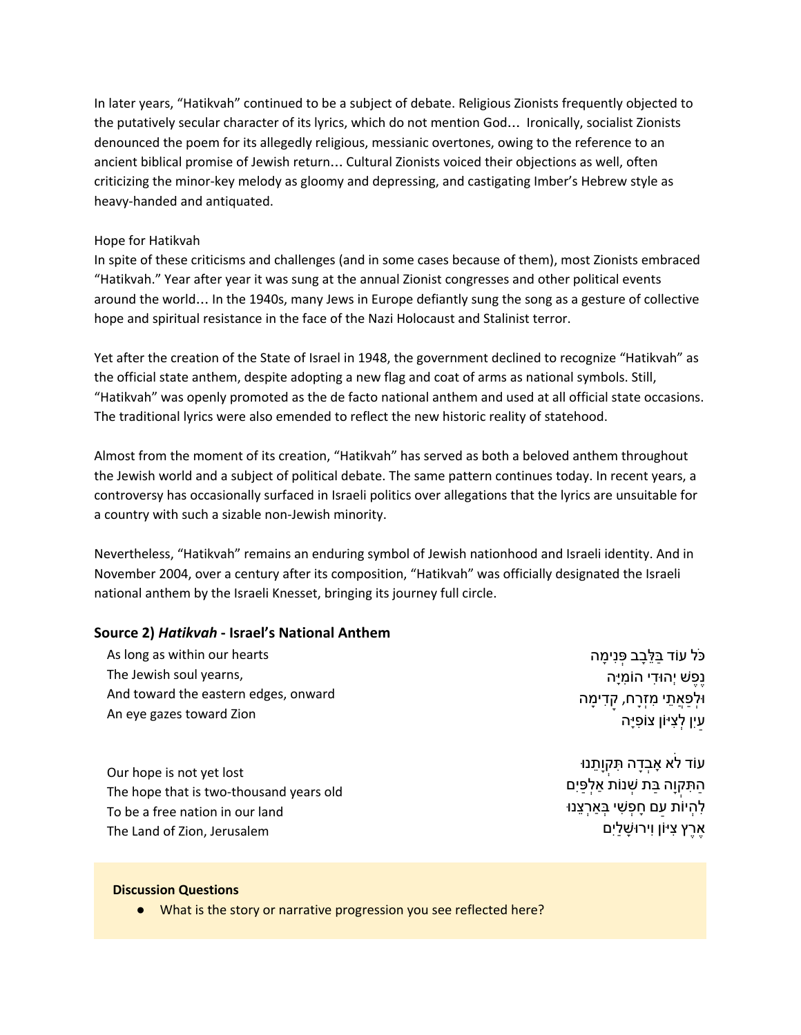In later years, "Hatikvah" continued to be a subject of debate. Religious Zionists frequently objected to the putatively secular character of its lyrics, which do not mention God… Ironically, socialist Zionists denounced the poem for its allegedly religious, messianic overtones, owing to the reference to an ancient biblical promise of Jewish return… Cultural Zionists voiced their objections as well, often criticizing the minor-key melody as gloomy and depressing, and castigating Imber's Hebrew style as heavy-handed and antiquated.

## Hope for Hatikvah

In spite of these criticisms and challenges (and in some cases because of them), most Zionists embraced "Hatikvah." Year after year it was sung at the annual Zionist congresses and other political events around the world… In the 1940s, many Jews in Europe defiantly sung the song as a gesture of collective hope and spiritual resistance in the face of the Nazi Holocaust and Stalinist terror.

Yet after the creation of the State of Israel in 1948, the government declined to recognize "Hatikvah" as the official state anthem, despite adopting a new flag and coat of arms as national symbols. Still, "Hatikvah" was openly promoted as the de facto national anthem and used at all official state occasions. The traditional lyrics were also emended to reflect the new historic reality of statehood.

Almost from the moment of its creation, "Hatikvah" has served as both a beloved anthem throughout the Jewish world and a subject of political debate. The same pattern continues today. In recent years, a controversy has occasionally surfaced in Israeli politics over allegations that the lyrics are unsuitable for a country with such a sizable non-Jewish minority.

Nevertheless, "Hatikvah" remains an enduring symbol of Jewish nationhood and Israeli identity. And in November 2004, over a century after its composition, "Hatikvah" was officially designated the Israeli national anthem by the Israeli Knesset, bringing its journey full circle.

## **Source 2)** *Hatikvah* **- Israel's National Anthem**

As long as within our hearts The Jewish soul yearns, And toward the eastern edges, onward An eye gazes toward Zion

כֹּל עוֹד ַבֵּלָּבב ְפּנִ ָ ימה ֶנֶפשׁ יְ ִהוּדי ִהוֹמיָּה ּוּלְפַּאֲתֵי מִזְרָח, קָדִימָה ַעיִן ְלִציּוֹן ִ צוֹפיָּה

Our hope is not yet lost The hope that is two-thousand years old To be a free nation in our land The Land of Zion, Jerusalem

עוֹד לֹא אָבְדָה תִּקְוָתֵנוּ ַה ִתּקְוָה ַבּת ְשׁנוֹת ְאַל ַפּיִם ַלְהיוֹת עם חפשִׁי בּאַרצֵנוּ ֶאֶרץ ִציּוֹן וִ ָ ירוּשַׁליִם

#### **Discussion Questions**

● What is the story or narrative progression you see reflected here?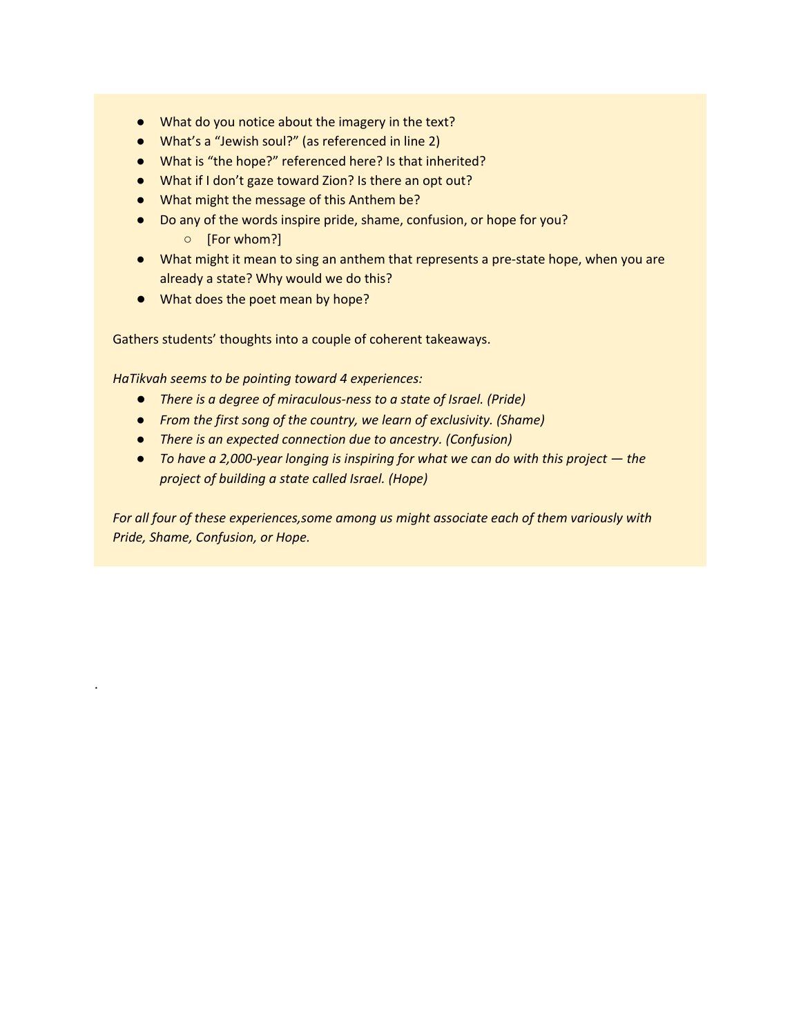- What do you notice about the imagery in the text?
- What's a "Jewish soul?" (as referenced in line 2)
- What is "the hope?" referenced here? Is that inherited?
- What if I don't gaze toward Zion? Is there an opt out?
- What might the message of this Anthem be?
- Do any of the words inspire pride, shame, confusion, or hope for you? ○ [For whom?]
- What might it mean to sing an anthem that represents a pre-state hope, when you are already a state? Why would we do this?
- What does the poet mean by hope?

Gathers students' thoughts into a couple of coherent takeaways.

*HaTikvah seems to be pointing toward 4 experiences:*

.

- *● There is a degree of miraculous-ness to a state of Israel. (Pride)*
- *● From the first song of the country, we learn of exclusivity. (Shame)*
- *● There is an expected connection due to ancestry. (Confusion)*
- *● To have a 2,000-year longing is inspiring for what we can do with this project — the project of building a state called Israel. (Hope)*

*For all four of these experiences,some among us might associate each of them variously with Pride, Shame, Confusion, or Hope.*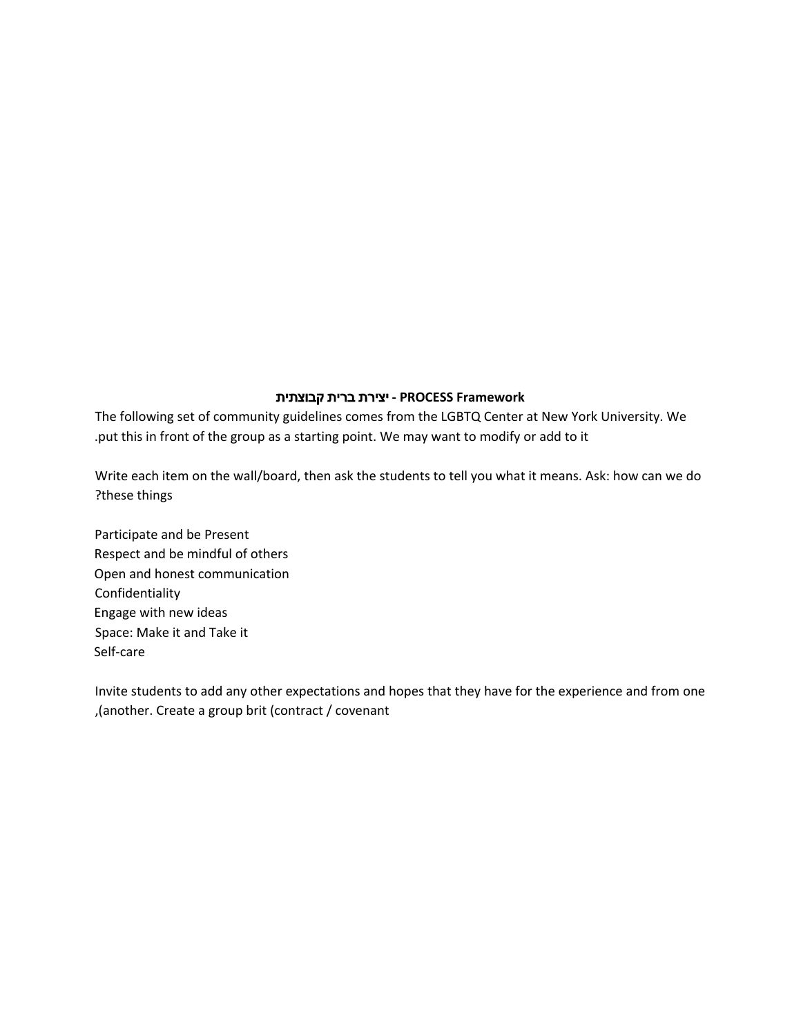## **Framework PROCESS -** יצירת ברית קבוצתית

The following set of community guidelines comes from the LGBTQ Center at New York University. We .put this in front of the group as a starting point. We may want to modify or add to it

Write each item on the wall/board, then ask the students to tell you what it means. Ask: how can we do ?these things

Participate and be Present Respect and be mindful of others Open and honest communication Confidentiality Engage with new ideas Space: Make it and Take it Self-care

Invite students to add any other expectations and hopes that they have for the experience and from one ,(another. Create a group brit (contract / covenant